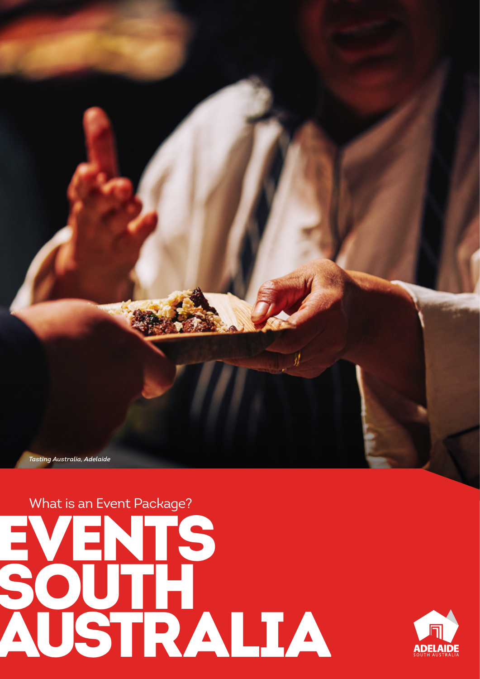



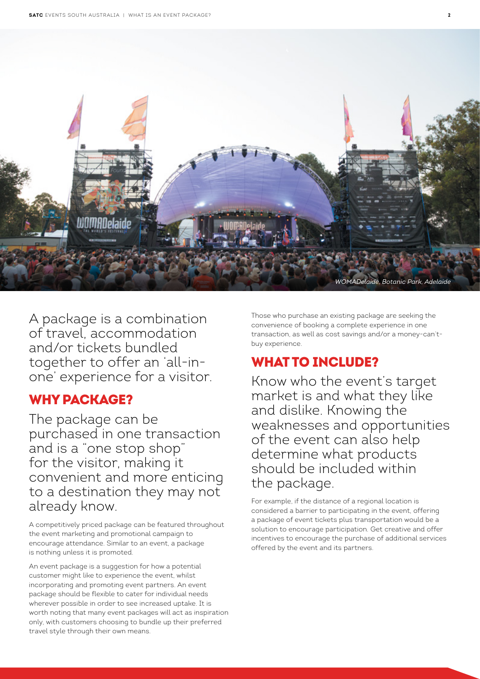

A package is a combination of travel, accommodation and/or tickets bundled together to offer an 'all-inone' experience for a visitor.

### WHY PACKAGE?

The package can be purchased in one transaction and is a "one stop shop" for the visitor, making it convenient and more enticing to a destination they may not already know.

A competitively priced package can be featured throughout the event marketing and promotional campaign to encourage attendance. Similar to an event, a package is nothing unless it is promoted.

An event package is a suggestion for how a potential customer might like to experience the event, whilst incorporating and promoting event partners. An event package should be flexible to cater for individual needs wherever possible in order to see increased uptake. It is worth noting that many event packages will act as inspiration only, with customers choosing to bundle up their preferred travel style through their own means.

Those who purchase an existing package are seeking the convenience of booking a complete experience in one transaction, as well as cost savings and/or a money-can'tbuy experience.

# WHAT TO INCLUDE?

Know who the event's target market is and what they like and dislike. Knowing the weaknesses and opportunities of the event can also help determine what products should be included within the package.

For example, if the distance of a regional location is considered a barrier to participating in the event, offering a package of event tickets plus transportation would be a solution to encourage participation. Get creative and offer incentives to encourage the purchase of additional services offered by the event and its partners.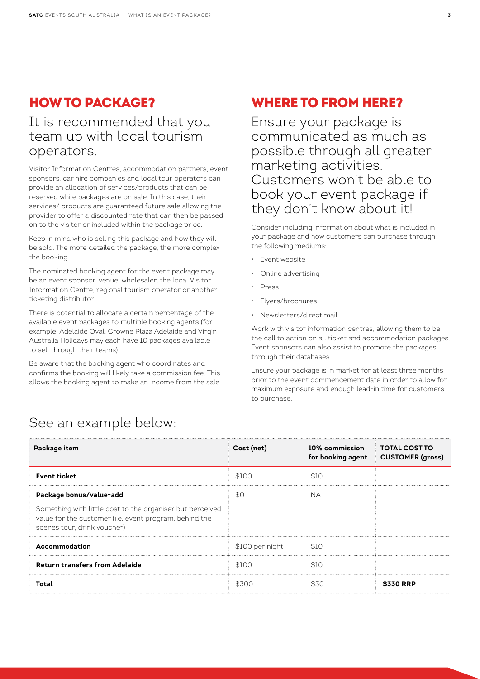### HOW TO PACKAGE?

#### It is recommended that you team up with local tourism operators.

Visitor Information Centres, accommodation partners, event sponsors, car hire companies and local tour operators can provide an allocation of services/products that can be reserved while packages are on sale. In this case, their services/ products are guaranteed future sale allowing the provider to offer a discounted rate that can then be passed on to the visitor or included within the package price.

Keep in mind who is selling this package and how they will be sold. The more detailed the package, the more complex the booking.

The nominated booking agent for the event package may be an event sponsor, venue, wholesaler, the local Visitor Information Centre, regional tourism operator or another ticketing distributor.

There is potential to allocate a certain percentage of the available event packages to multiple booking agents (for example, Adelaide Oval, Crowne Plaza Adelaide and Virgin Australia Holidays may each have 10 packages available to sell through their teams).

Be aware that the booking agent who coordinates and confirms the booking will likely take a commission fee. This allows the booking agent to make an income from the sale.

## WHERE TO FROM HERE?

Ensure your package is communicated as much as possible through all greater marketing activities. Customers won't be able to book your event package if they don't know about it!

Consider including information about what is included in your package and how customers can purchase through the following mediums:

- Event website
- Online advertising
- Press
- Flyers/brochures
- Newsletters/direct mail

Work with visitor information centres, allowing them to be the call to action on all ticket and accommodation packages. Event sponsors can also assist to promote the packages through their databases.

Ensure your package is in market for at least three months prior to the event commencement date in order to allow for maximum exposure and enough lead-in time for customers to purchase.

| Package item                                                                                                                                                                  | Cost (net)      | 10% commission<br>for booking agent | <b>TOTAL COST TO</b><br><b>CUSTOMER (gross)</b> |
|-------------------------------------------------------------------------------------------------------------------------------------------------------------------------------|-----------------|-------------------------------------|-------------------------------------------------|
| <b>Event ticket</b>                                                                                                                                                           | \$100           | \$10                                |                                                 |
| Package bonus/value-add<br>Something with little cost to the organiser but perceived<br>value for the customer (i.e. event program, behind the<br>scenes tour, drink voucher) | \$0             | <b>NA</b>                           |                                                 |
| Accommodation                                                                                                                                                                 | \$100 per night | - \$10                              |                                                 |
| <b>Return transfers from Adelaide</b>                                                                                                                                         | \$100           | \$10                                |                                                 |
| Total                                                                                                                                                                         | \$300           | .S.30                               | \$330 RRP                                       |

# See an example below: